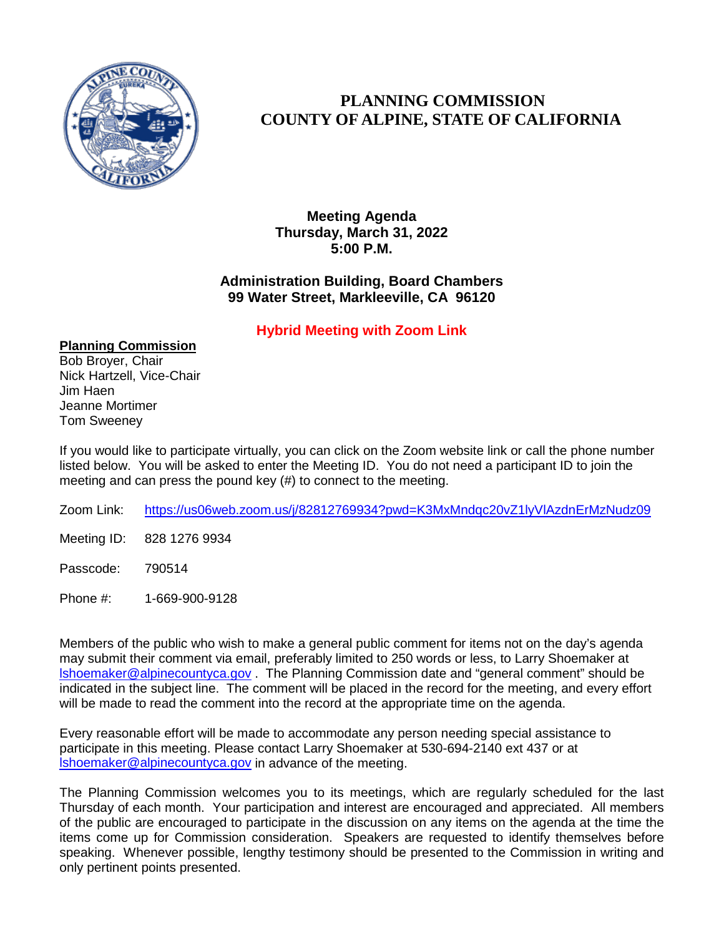

#### **PLANNING COMMISSION COUNTY OF ALPINE, STATE OF CALIFORNIA**

**Meeting Agenda Thursday, March 31, 2022 5:00 P.M.**

#### **Administration Building, Board Chambers 99 Water Street, Markleeville, CA 96120**

#### **Hybrid Meeting with Zoom Link**

**Planning Commission** Bob Broyer, Chair Nick Hartzell, Vice-Chair Jim Haen Jeanne Mortimer Tom Sweeney

If you would like to participate virtually, you can click on the Zoom website link or call the phone number listed below. You will be asked to enter the Meeting ID. You do not need a participant ID to join the meeting and can press the pound key (#) to connect to the meeting.

- Zoom Link: <https://us06web.zoom.us/j/82812769934?pwd=K3MxMndqc20vZ1lyVlAzdnErMzNudz09>
- Meeting ID: 828 1276 9934
- Passcode: 790514
- Phone #: 1-669-900-9128

Members of the public who wish to make a general public comment for items not on the day's agenda may submit their comment via email, preferably limited to 250 words or less, to Larry Shoemaker at [lshoemaker@alpinecountyca.gov](mailto:lshoemaker@alpinecountyca.gov) . The Planning Commission date and "general comment" should be indicated in the subject line. The comment will be placed in the record for the meeting, and every effort will be made to read the comment into the record at the appropriate time on the agenda.

Every reasonable effort will be made to accommodate any person needing special assistance to participate in this meeting. Please contact Larry Shoemaker at 530-694-2140 ext 437 or at [lshoemaker@alpinecountyca.gov](mailto:lshoemaker@alpinecountyca.gov) in advance of the meeting.

The Planning Commission welcomes you to its meetings, which are regularly scheduled for the last Thursday of each month. Your participation and interest are encouraged and appreciated. All members of the public are encouraged to participate in the discussion on any items on the agenda at the time the items come up for Commission consideration. Speakers are requested to identify themselves before speaking. Whenever possible, lengthy testimony should be presented to the Commission in writing and only pertinent points presented.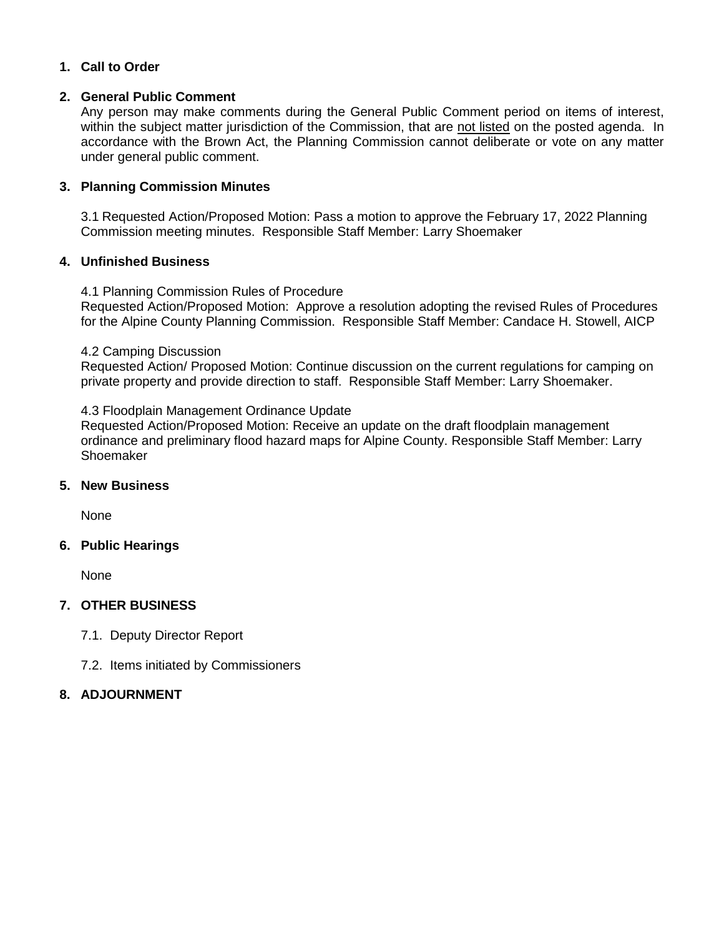#### **1. Call to Order**

#### **2. General Public Comment**

Any person may make comments during the General Public Comment period on items of interest, within the subject matter jurisdiction of the Commission, that are not listed on the posted agenda. In accordance with the Brown Act, the Planning Commission cannot deliberate or vote on any matter under general public comment.

#### **3. Planning Commission Minutes**

3.1 Requested Action/Proposed Motion: Pass a motion to approve the February 17, 2022 Planning Commission meeting minutes. Responsible Staff Member: Larry Shoemaker

#### **4. Unfinished Business**

4.1 Planning Commission Rules of Procedure Requested Action/Proposed Motion: Approve a resolution adopting the revised Rules of Procedures for the Alpine County Planning Commission. Responsible Staff Member: Candace H. Stowell, AICP

#### 4.2 Camping Discussion

Requested Action/ Proposed Motion: Continue discussion on the current regulations for camping on private property and provide direction to staff. Responsible Staff Member: Larry Shoemaker.

#### 4.3 Floodplain Management Ordinance Update

Requested Action/Proposed Motion: Receive an update on the draft floodplain management ordinance and preliminary flood hazard maps for Alpine County. Responsible Staff Member: Larry Shoemaker

#### **5. New Business**

None

#### **6. Public Hearings**

None

#### **7. OTHER BUSINESS**

7.1. Deputy Director Report

7.2. Items initiated by Commissioners

#### **8. ADJOURNMENT**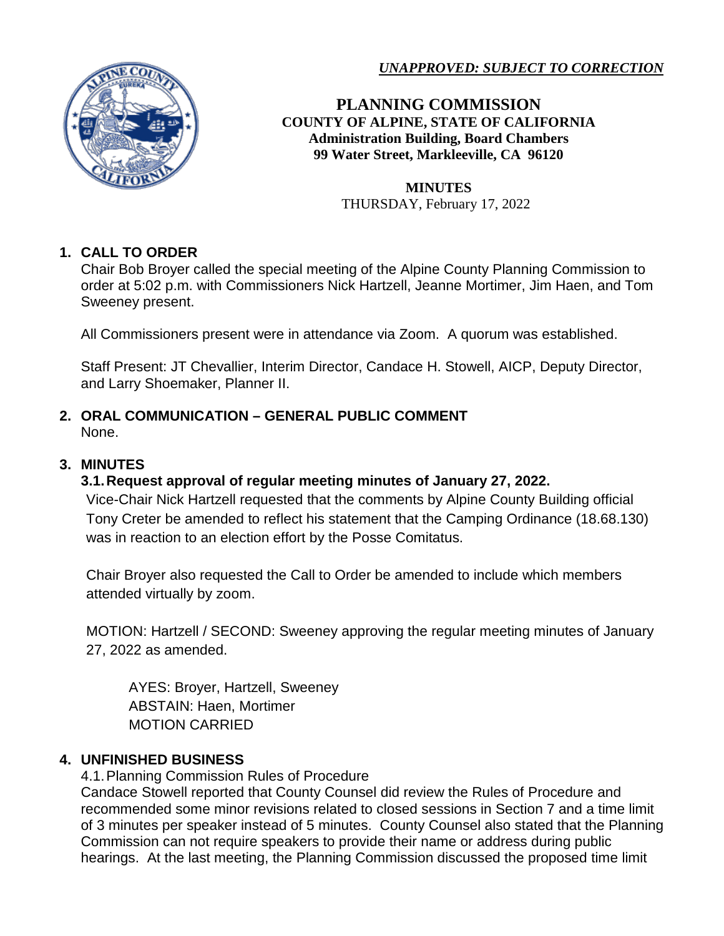

*UNAPPROVED: SUBJECT TO CORRECTION*

**PLANNING COMMISSION COUNTY OF ALPINE, STATE OF CALIFORNIA Administration Building, Board Chambers 99 Water Street, Markleeville, CA 96120**

> **MINUTES** THURSDAY, February 17, 2022

#### **1. CALL TO ORDER**

Chair Bob Broyer called the special meeting of the Alpine County Planning Commission to order at 5:02 p.m. with Commissioners Nick Hartzell, Jeanne Mortimer, Jim Haen, and Tom Sweeney present.

All Commissioners present were in attendance via Zoom. A quorum was established.

Staff Present: JT Chevallier, Interim Director, Candace H. Stowell, AICP, Deputy Director, and Larry Shoemaker, Planner II.

#### **2. ORAL COMMUNICATION – GENERAL PUBLIC COMMENT** None.

#### **3. MINUTES**

#### **3.1.Request approval of regular meeting minutes of January 27, 2022.**

Vice-Chair Nick Hartzell requested that the comments by Alpine County Building official Tony Creter be amended to reflect his statement that the Camping Ordinance (18.68.130) was in reaction to an election effort by the Posse Comitatus.

Chair Broyer also requested the Call to Order be amended to include which members attended virtually by zoom.

MOTION: Hartzell / SECOND: Sweeney approving the regular meeting minutes of January 27, 2022 as amended.

AYES: Broyer, Hartzell, Sweeney ABSTAIN: Haen, Mortimer MOTION CARRIED

#### **4. UNFINISHED BUSINESS**

4.1.Planning Commission Rules of Procedure

Candace Stowell reported that County Counsel did review the Rules of Procedure and recommended some minor revisions related to closed sessions in Section 7 and a time limit of 3 minutes per speaker instead of 5 minutes. County Counsel also stated that the Planning Commission can not require speakers to provide their name or address during public hearings. At the last meeting, the Planning Commission discussed the proposed time limit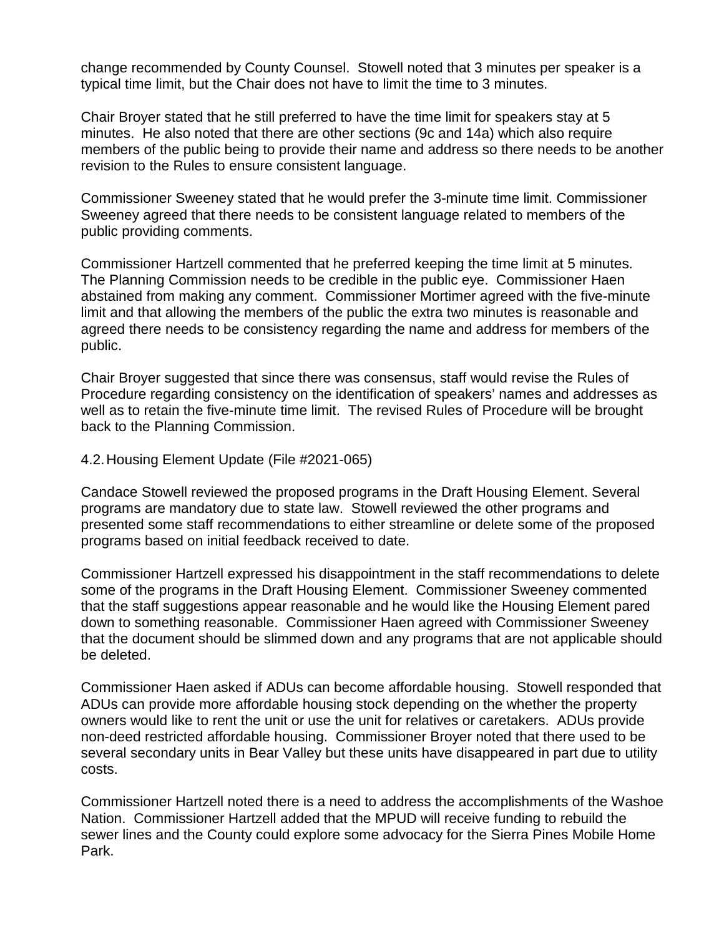change recommended by County Counsel. Stowell noted that 3 minutes per speaker is a typical time limit, but the Chair does not have to limit the time to 3 minutes.

Chair Broyer stated that he still preferred to have the time limit for speakers stay at 5 minutes. He also noted that there are other sections (9c and 14a) which also require members of the public being to provide their name and address so there needs to be another revision to the Rules to ensure consistent language.

Commissioner Sweeney stated that he would prefer the 3-minute time limit. Commissioner Sweeney agreed that there needs to be consistent language related to members of the public providing comments.

Commissioner Hartzell commented that he preferred keeping the time limit at 5 minutes. The Planning Commission needs to be credible in the public eye. Commissioner Haen abstained from making any comment. Commissioner Mortimer agreed with the five-minute limit and that allowing the members of the public the extra two minutes is reasonable and agreed there needs to be consistency regarding the name and address for members of the public.

Chair Broyer suggested that since there was consensus, staff would revise the Rules of Procedure regarding consistency on the identification of speakers' names and addresses as well as to retain the five-minute time limit. The revised Rules of Procedure will be brought back to the Planning Commission.

4.2.Housing Element Update (File #2021-065)

Candace Stowell reviewed the proposed programs in the Draft Housing Element. Several programs are mandatory due to state law. Stowell reviewed the other programs and presented some staff recommendations to either streamline or delete some of the proposed programs based on initial feedback received to date.

Commissioner Hartzell expressed his disappointment in the staff recommendations to delete some of the programs in the Draft Housing Element. Commissioner Sweeney commented that the staff suggestions appear reasonable and he would like the Housing Element pared down to something reasonable. Commissioner Haen agreed with Commissioner Sweeney that the document should be slimmed down and any programs that are not applicable should be deleted.

Commissioner Haen asked if ADUs can become affordable housing. Stowell responded that ADUs can provide more affordable housing stock depending on the whether the property owners would like to rent the unit or use the unit for relatives or caretakers. ADUs provide non-deed restricted affordable housing. Commissioner Broyer noted that there used to be several secondary units in Bear Valley but these units have disappeared in part due to utility costs.

Commissioner Hartzell noted there is a need to address the accomplishments of the Washoe Nation. Commissioner Hartzell added that the MPUD will receive funding to rebuild the sewer lines and the County could explore some advocacy for the Sierra Pines Mobile Home Park.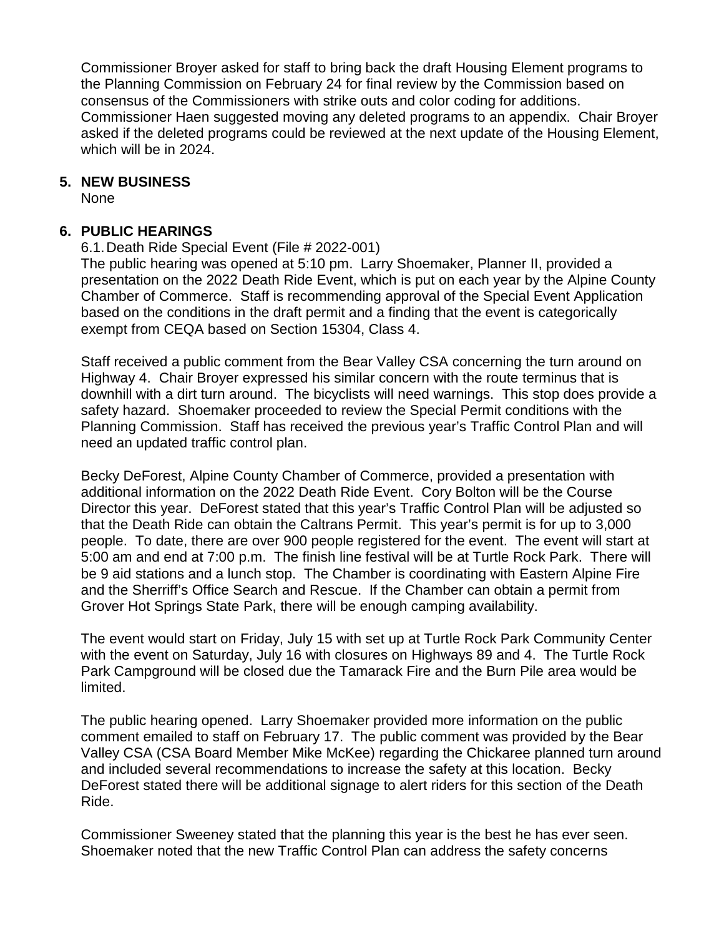Commissioner Broyer asked for staff to bring back the draft Housing Element programs to the Planning Commission on February 24 for final review by the Commission based on consensus of the Commissioners with strike outs and color coding for additions. Commissioner Haen suggested moving any deleted programs to an appendix. Chair Broyer asked if the deleted programs could be reviewed at the next update of the Housing Element, which will be in 2024.

#### **5. NEW BUSINESS**

None

#### **6. PUBLIC HEARINGS**

6.1.Death Ride Special Event (File # 2022-001)

The public hearing was opened at 5:10 pm. Larry Shoemaker, Planner II, provided a presentation on the 2022 Death Ride Event, which is put on each year by the Alpine County Chamber of Commerce. Staff is recommending approval of the Special Event Application based on the conditions in the draft permit and a finding that the event is categorically exempt from CEQA based on Section 15304, Class 4.

Staff received a public comment from the Bear Valley CSA concerning the turn around on Highway 4. Chair Broyer expressed his similar concern with the route terminus that is downhill with a dirt turn around. The bicyclists will need warnings. This stop does provide a safety hazard. Shoemaker proceeded to review the Special Permit conditions with the Planning Commission. Staff has received the previous year's Traffic Control Plan and will need an updated traffic control plan.

Becky DeForest, Alpine County Chamber of Commerce, provided a presentation with additional information on the 2022 Death Ride Event. Cory Bolton will be the Course Director this year. DeForest stated that this year's Traffic Control Plan will be adjusted so that the Death Ride can obtain the Caltrans Permit. This year's permit is for up to 3,000 people. To date, there are over 900 people registered for the event. The event will start at 5:00 am and end at 7:00 p.m. The finish line festival will be at Turtle Rock Park. There will be 9 aid stations and a lunch stop. The Chamber is coordinating with Eastern Alpine Fire and the Sherriff's Office Search and Rescue. If the Chamber can obtain a permit from Grover Hot Springs State Park, there will be enough camping availability.

The event would start on Friday, July 15 with set up at Turtle Rock Park Community Center with the event on Saturday, July 16 with closures on Highways 89 and 4. The Turtle Rock Park Campground will be closed due the Tamarack Fire and the Burn Pile area would be limited.

The public hearing opened. Larry Shoemaker provided more information on the public comment emailed to staff on February 17. The public comment was provided by the Bear Valley CSA (CSA Board Member Mike McKee) regarding the Chickaree planned turn around and included several recommendations to increase the safety at this location. Becky DeForest stated there will be additional signage to alert riders for this section of the Death Ride.

Commissioner Sweeney stated that the planning this year is the best he has ever seen. Shoemaker noted that the new Traffic Control Plan can address the safety concerns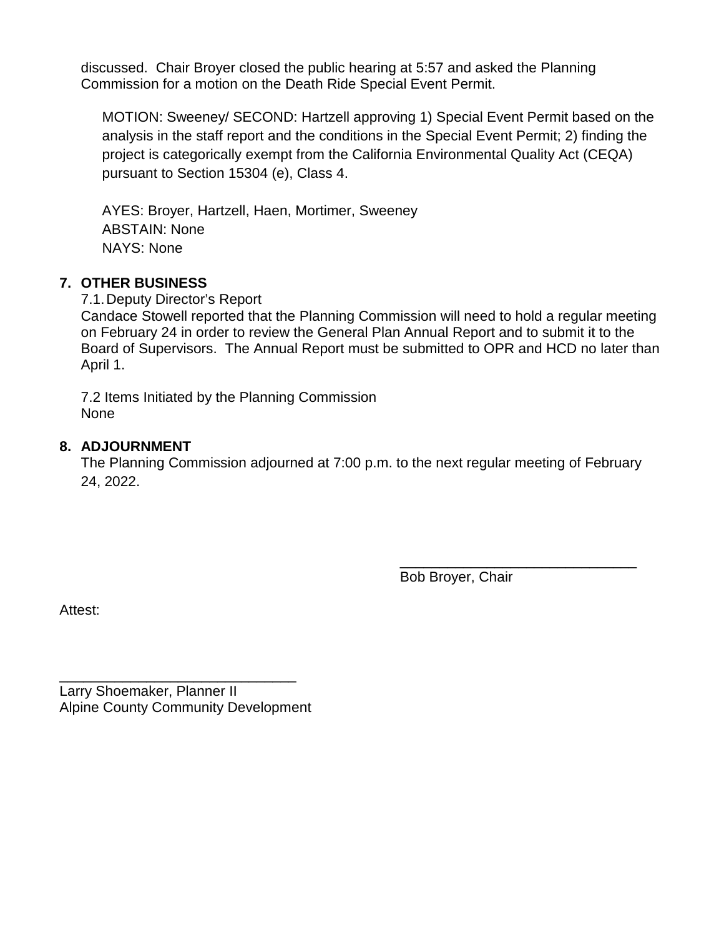discussed. Chair Broyer closed the public hearing at 5:57 and asked the Planning Commission for a motion on the Death Ride Special Event Permit.

MOTION: Sweeney/ SECOND: Hartzell approving 1) Special Event Permit based on the analysis in the staff report and the conditions in the Special Event Permit; 2) finding the project is categorically exempt from the California Environmental Quality Act (CEQA) pursuant to Section 15304 (e), Class 4.

AYES: Broyer, Hartzell, Haen, Mortimer, Sweeney ABSTAIN: None NAYS: None

#### **7. OTHER BUSINESS**

7.1.Deputy Director's Report

Candace Stowell reported that the Planning Commission will need to hold a regular meeting on February 24 in order to review the General Plan Annual Report and to submit it to the Board of Supervisors. The Annual Report must be submitted to OPR and HCD no later than April 1.

7.2 Items Initiated by the Planning Commission None

#### **8. ADJOURNMENT**

The Planning Commission adjourned at 7:00 p.m. to the next regular meeting of February 24, 2022.

Bob Broyer, Chair

\_\_\_\_\_\_\_\_\_\_\_\_\_\_\_\_\_\_\_\_\_\_\_\_\_\_\_\_\_\_

Attest:

\_\_\_\_\_\_\_\_\_\_\_\_\_\_\_\_\_\_\_\_\_\_\_\_\_\_\_\_\_\_ Larry Shoemaker, Planner II Alpine County Community Development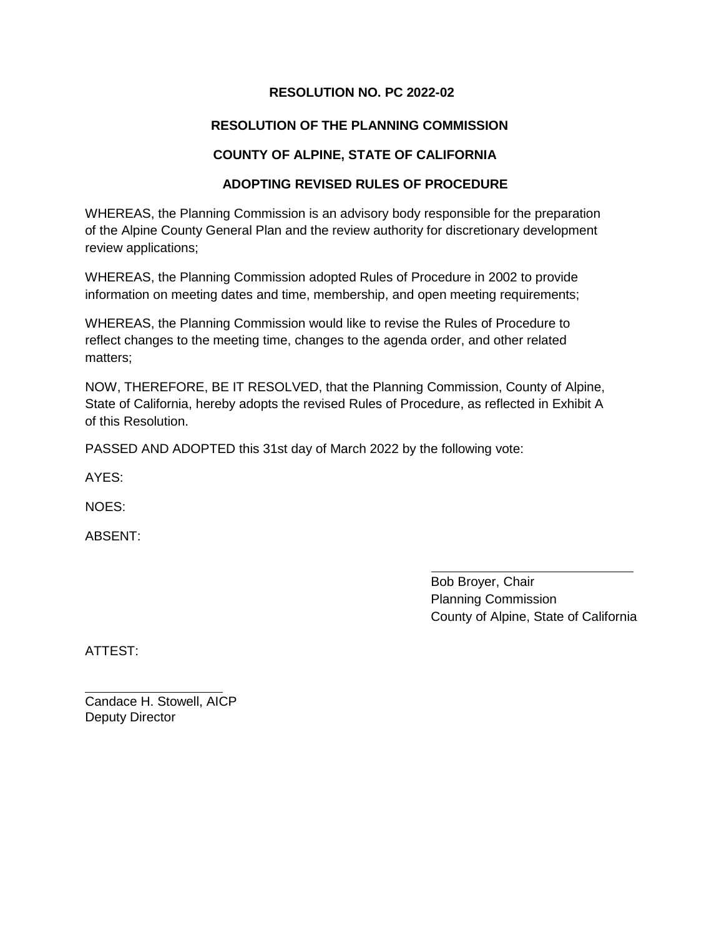#### **RESOLUTION NO. PC 2022-02**

#### **RESOLUTION OF THE PLANNING COMMISSION**

#### **COUNTY OF ALPINE, STATE OF CALIFORNIA**

#### **ADOPTING REVISED RULES OF PROCEDURE**

WHEREAS, the Planning Commission is an advisory body responsible for the preparation of the Alpine County General Plan and the review authority for discretionary development review applications;

WHEREAS, the Planning Commission adopted Rules of Procedure in 2002 to provide information on meeting dates and time, membership, and open meeting requirements;

WHEREAS, the Planning Commission would like to revise the Rules of Procedure to reflect changes to the meeting time, changes to the agenda order, and other related matters;

NOW, THEREFORE, BE IT RESOLVED, that the Planning Commission, County of Alpine, State of California, hereby adopts the revised Rules of Procedure, as reflected in Exhibit A of this Resolution.

PASSED AND ADOPTED this 31st day of March 2022 by the following vote:

AYES:

NOES:

ABSENT:

Bob Broyer, Chair Planning Commission County of Alpine, State of California

ATTEST:

Candace H. Stowell, AICP Deputy Director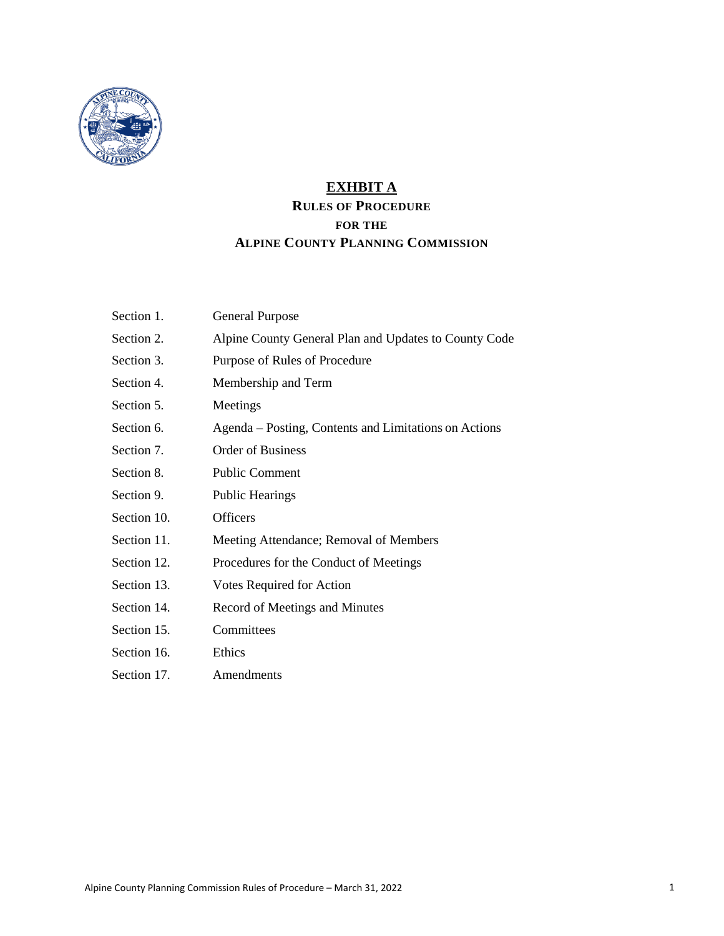

#### **EXHBIT A RULES OF PROCEDURE FOR THE ALPINE COUNTY PLANNING COMMISSION**

| Section 1.  | <b>General Purpose</b>                                |
|-------------|-------------------------------------------------------|
| Section 2.  | Alpine County General Plan and Updates to County Code |
| Section 3.  | Purpose of Rules of Procedure                         |
| Section 4.  | Membership and Term                                   |
| Section 5.  | Meetings                                              |
| Section 6.  | Agenda – Posting, Contents and Limitations on Actions |
| Section 7.  | <b>Order of Business</b>                              |
| Section 8.  | <b>Public Comment</b>                                 |
| Section 9.  | <b>Public Hearings</b>                                |
| Section 10. | Officers                                              |
| Section 11. | Meeting Attendance; Removal of Members                |
| Section 12. | Procedures for the Conduct of Meetings                |
| Section 13. | Votes Required for Action                             |
| Section 14. | Record of Meetings and Minutes                        |
| Section 15. | Committees                                            |
| Section 16. | Ethics                                                |
| Section 17. | Amendments                                            |
|             |                                                       |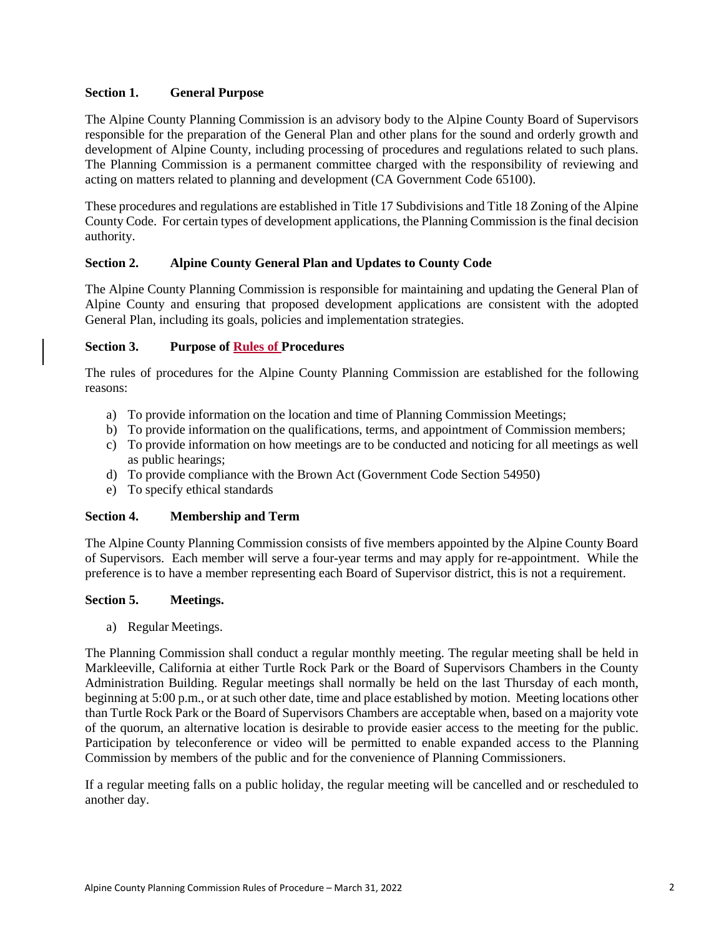#### **Section 1. General Purpose**

The Alpine County Planning Commission is an advisory body to the Alpine County Board of Supervisors responsible for the preparation of the General Plan and other plans for the sound and orderly growth and development of Alpine County, including processing of procedures and regulations related to such plans. The Planning Commission is a permanent committee charged with the responsibility of reviewing and acting on matters related to planning and development (CA Government Code 65100).

These procedures and regulations are established in Title 17 Subdivisions and Title 18 Zoning of the Alpine County Code. For certain types of development applications, the Planning Commission is the final decision authority.

#### **Section 2. Alpine County General Plan and Updates to County Code**

The Alpine County Planning Commission is responsible for maintaining and updating the General Plan of Alpine County and ensuring that proposed development applications are consistent with the adopted General Plan, including its goals, policies and implementation strategies.

#### **Section 3. Purpose of Rules of Procedures**

The rules of procedures for the Alpine County Planning Commission are established for the following reasons:

- a) To provide information on the location and time of Planning Commission Meetings;
- b) To provide information on the qualifications, terms, and appointment of Commission members;
- c) To provide information on how meetings are to be conducted and noticing for all meetings as well as public hearings;
- d) To provide compliance with the Brown Act (Government Code Section 54950)
- e) To specify ethical standards

#### **Section 4. Membership and Term**

The Alpine County Planning Commission consists of five members appointed by the Alpine County Board of Supervisors. Each member will serve a four-year terms and may apply for re-appointment. While the preference is to have a member representing each Board of Supervisor district, this is not a requirement.

#### **Section 5. Meetings.**

a) Regular Meetings.

The Planning Commission shall conduct a regular monthly meeting. The regular meeting shall be held in Markleeville, California at either Turtle Rock Park or the Board of Supervisors Chambers in the County Administration Building. Regular meetings shall normally be held on the last Thursday of each month, beginning at 5:00 p.m., or at such other date, time and place established by motion. Meeting locations other than Turtle Rock Park or the Board of Supervisors Chambers are acceptable when, based on a majority vote of the quorum, an alternative location is desirable to provide easier access to the meeting for the public. Participation by teleconference or video will be permitted to enable expanded access to the Planning Commission by members of the public and for the convenience of Planning Commissioners.

If a regular meeting falls on a public holiday, the regular meeting will be cancelled and or rescheduled to another day.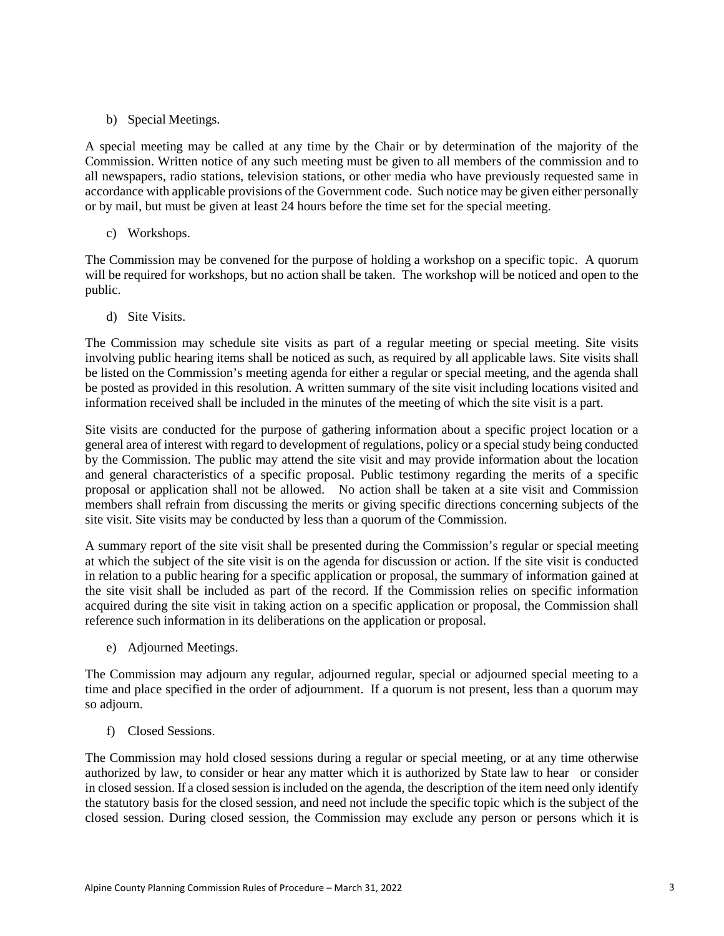b) Special Meetings.

A special meeting may be called at any time by the Chair or by determination of the majority of the Commission. Written notice of any such meeting must be given to all members of the commission and to all newspapers, radio stations, television stations, or other media who have previously requested same in accordance with applicable provisions of the Government code. Such notice may be given either personally or by mail, but must be given at least 24 hours before the time set for the special meeting.

c) Workshops.

The Commission may be convened for the purpose of holding a workshop on a specific topic. A quorum will be required for workshops, but no action shall be taken. The workshop will be noticed and open to the public.

d) Site Visits.

The Commission may schedule site visits as part of a regular meeting or special meeting. Site visits involving public hearing items shall be noticed as such, as required by all applicable laws. Site visits shall be listed on the Commission's meeting agenda for either a regular or special meeting, and the agenda shall be posted as provided in this resolution. A written summary of the site visit including locations visited and information received shall be included in the minutes of the meeting of which the site visit is a part.

Site visits are conducted for the purpose of gathering information about a specific project location or a general area of interest with regard to development of regulations, policy or a special study being conducted by the Commission. The public may attend the site visit and may provide information about the location and general characteristics of a specific proposal. Public testimony regarding the merits of a specific proposal or application shall not be allowed. No action shall be taken at a site visit and Commission members shall refrain from discussing the merits or giving specific directions concerning subjects of the site visit. Site visits may be conducted by less than a quorum of the Commission.

A summary report of the site visit shall be presented during the Commission's regular or special meeting at which the subject of the site visit is on the agenda for discussion or action. If the site visit is conducted in relation to a public hearing for a specific application or proposal, the summary of information gained at the site visit shall be included as part of the record. If the Commission relies on specific information acquired during the site visit in taking action on a specific application or proposal, the Commission shall reference such information in its deliberations on the application or proposal.

e) Adjourned Meetings.

The Commission may adjourn any regular, adjourned regular, special or adjourned special meeting to a time and place specified in the order of adjournment. If a quorum is not present, less than a quorum may so adjourn.

f) Closed Sessions.

The Commission may hold closed sessions during a regular or special meeting, or at any time otherwise authorized by law, to consider or hear any matter which it is authorized by State law to hear or consider in closed session. If a closed session is included on the agenda, the description of the item need only identify the statutory basis for the closed session, and need not include the specific topic which is the subject of the closed session. During closed session, the Commission may exclude any person or persons which it is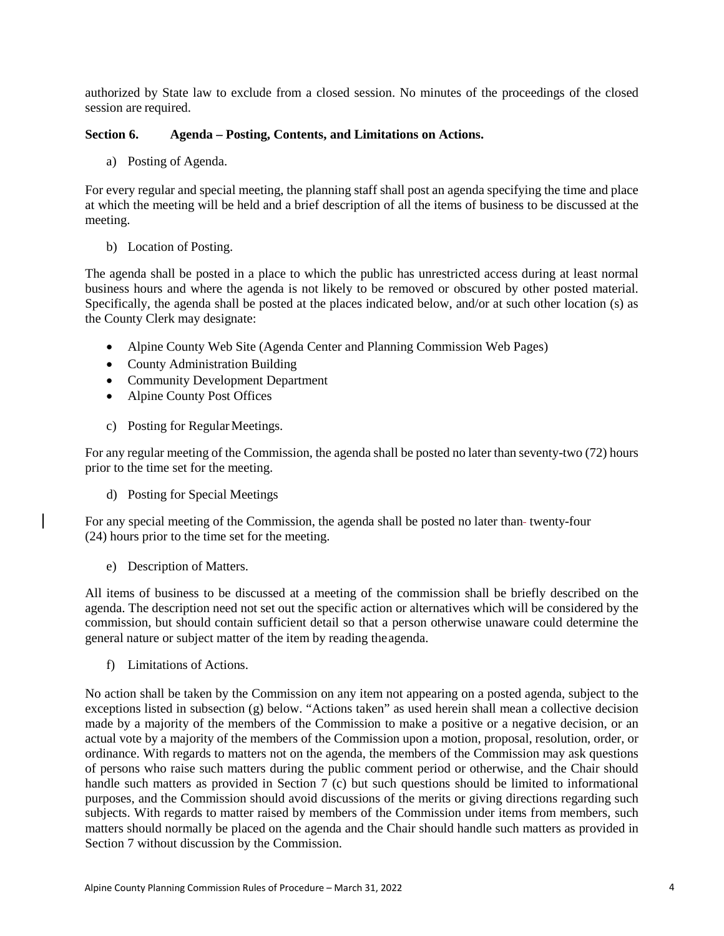authorized by State law to exclude from a closed session. No minutes of the proceedings of the closed session are required.

#### **Section 6. Agenda – Posting, Contents, and Limitations on Actions.**

a) Posting of Agenda.

For every regular and special meeting, the planning staff shall post an agenda specifying the time and place at which the meeting will be held and a brief description of all the items of business to be discussed at the meeting.

b) Location of Posting.

The agenda shall be posted in a place to which the public has unrestricted access during at least normal business hours and where the agenda is not likely to be removed or obscured by other posted material. Specifically, the agenda shall be posted at the places indicated below, and/or at such other location (s) as the County Clerk may designate:

- Alpine County Web Site (Agenda Center and Planning Commission Web Pages)
- County Administration Building
- Community Development Department
- Alpine County Post Offices
- c) Posting for Regular Meetings.

For any regular meeting of the Commission, the agenda shall be posted no later than seventy-two (72) hours prior to the time set for the meeting.

d) Posting for Special Meetings

For any special meeting of the Commission, the agenda shall be posted no later than-twenty-four (24) hours prior to the time set for the meeting.

e) Description of Matters.

All items of business to be discussed at a meeting of the commission shall be briefly described on the agenda. The description need not set out the specific action or alternatives which will be considered by the commission, but should contain sufficient detail so that a person otherwise unaware could determine the general nature or subject matter of the item by reading theagenda.

f) Limitations of Actions.

No action shall be taken by the Commission on any item not appearing on a posted agenda, subject to the exceptions listed in subsection (g) below. "Actions taken" as used herein shall mean a collective decision made by a majority of the members of the Commission to make a positive or a negative decision, or an actual vote by a majority of the members of the Commission upon a motion, proposal, resolution, order, or ordinance. With regards to matters not on the agenda, the members of the Commission may ask questions of persons who raise such matters during the public comment period or otherwise, and the Chair should handle such matters as provided in Section 7 (c) but such questions should be limited to informational purposes, and the Commission should avoid discussions of the merits or giving directions regarding such subjects. With regards to matter raised by members of the Commission under items from members, such matters should normally be placed on the agenda and the Chair should handle such matters as provided in Section 7 without discussion by the Commission.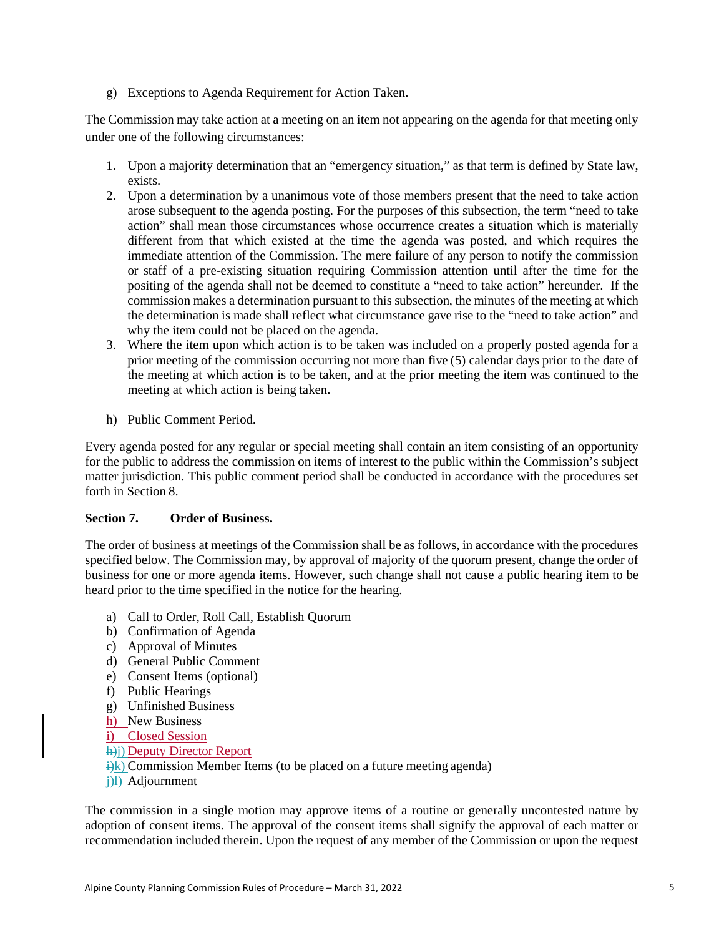g) Exceptions to Agenda Requirement for Action Taken.

The Commission may take action at a meeting on an item not appearing on the agenda for that meeting only under one of the following circumstances:

- 1. Upon a majority determination that an "emergency situation," as that term is defined by State law, exists.
- 2. Upon a determination by a unanimous vote of those members present that the need to take action arose subsequent to the agenda posting. For the purposes of this subsection, the term "need to take action" shall mean those circumstances whose occurrence creates a situation which is materially different from that which existed at the time the agenda was posted, and which requires the immediate attention of the Commission. The mere failure of any person to notify the commission or staff of a pre-existing situation requiring Commission attention until after the time for the positing of the agenda shall not be deemed to constitute a "need to take action" hereunder. If the commission makes a determination pursuant to this subsection, the minutes of the meeting at which the determination is made shall reflect what circumstance gave rise to the "need to take action" and why the item could not be placed on the agenda.
- 3. Where the item upon which action is to be taken was included on a properly posted agenda for a prior meeting of the commission occurring not more than five (5) calendar days prior to the date of the meeting at which action is to be taken, and at the prior meeting the item was continued to the meeting at which action is being taken.
- h) Public Comment Period.

Every agenda posted for any regular or special meeting shall contain an item consisting of an opportunity for the public to address the commission on items of interest to the public within the Commission's subject matter jurisdiction. This public comment period shall be conducted in accordance with the procedures set forth in Section 8.

#### **Section 7. Order of Business.**

The order of business at meetings of the Commission shall be as follows, in accordance with the procedures specified below. The Commission may, by approval of majority of the quorum present, change the order of business for one or more agenda items. However, such change shall not cause a public hearing item to be heard prior to the time specified in the notice for the hearing.

- a) Call to Order, Roll Call, Establish Quorum
- b) Confirmation of Agenda
- c) Approval of Minutes
- d) General Public Comment
- e) Consent Items (optional)
- f) Public Hearings
- g) Unfinished Business
- h) New Business
- i) Closed Session
- h) Deputy Director Report
- $\frac{1}{k}$ ) Commission Member Items (to be placed on a future meeting agenda)
- $\frac{1}{2}$ l) Adjournment

The commission in a single motion may approve items of a routine or generally uncontested nature by adoption of consent items. The approval of the consent items shall signify the approval of each matter or recommendation included therein. Upon the request of any member of the Commission or upon the request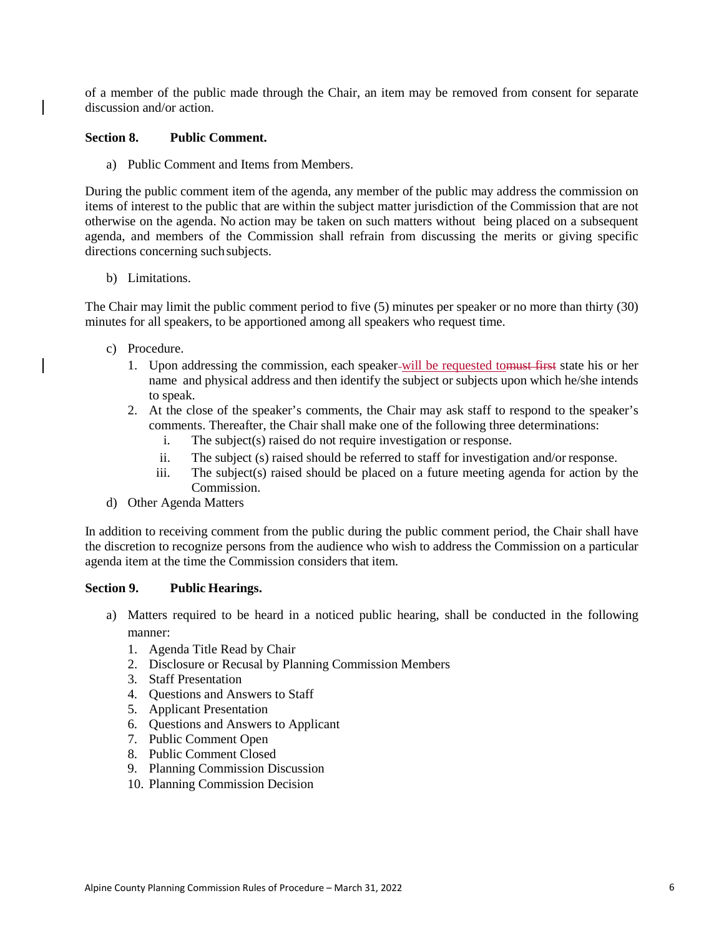of a member of the public made through the Chair, an item may be removed from consent for separate discussion and/or action

#### **Section 8. Public Comment.**

a) Public Comment and Items from Members.

During the public comment item of the agenda, any member of the public may address the commission on items of interest to the public that are within the subject matter jurisdiction of the Commission that are not otherwise on the agenda. No action may be taken on such matters without being placed on a subsequent agenda, and members of the Commission shall refrain from discussing the merits or giving specific directions concerning such subjects.

b) Limitations.

The Chair may limit the public comment period to five (5) minutes per speaker or no more than thirty (30) minutes for all speakers, to be apportioned among all speakers who request time.

- c) Procedure.
	- 1. Upon addressing the commission, each speaker will be requested tomust first state his or her name and physical address and then identify the subject or subjects upon which he/she intends to speak.
	- 2. At the close of the speaker's comments, the Chair may ask staff to respond to the speaker's comments. Thereafter, the Chair shall make one of the following three determinations:
		- i. The subject(s) raised do not require investigation or response.
		- ii. The subject (s) raised should be referred to staff for investigation and/or response.
		- iii. The subject(s) raised should be placed on a future meeting agenda for action by the Commission.
- d) Other Agenda Matters

In addition to receiving comment from the public during the public comment period, the Chair shall have the discretion to recognize persons from the audience who wish to address the Commission on a particular agenda item at the time the Commission considers that item.

#### **Section 9. Public Hearings.**

- a) Matters required to be heard in a noticed public hearing, shall be conducted in the following manner:
	- 1. Agenda Title Read by Chair
	- 2. Disclosure or Recusal by Planning Commission Members
	- 3. Staff Presentation
	- 4. Questions and Answers to Staff
	- 5. Applicant Presentation
	- 6. Questions and Answers to Applicant
	- 7. Public Comment Open
	- 8. Public Comment Closed
	- 9. Planning Commission Discussion
	- 10. Planning Commission Decision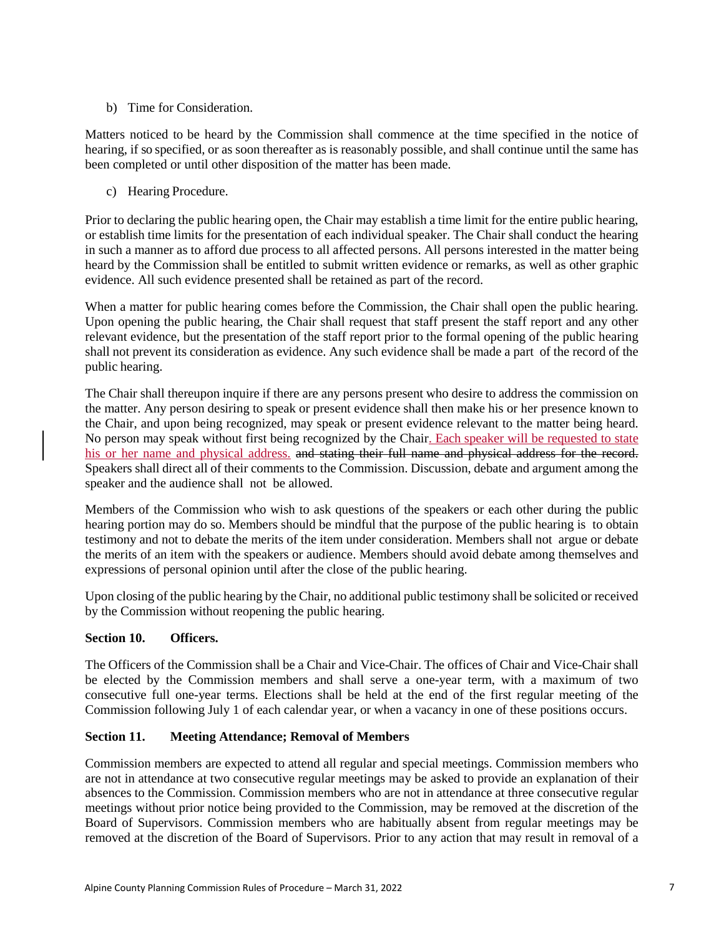#### b) Time for Consideration.

Matters noticed to be heard by the Commission shall commence at the time specified in the notice of hearing, if so specified, or as soon thereafter as is reasonably possible, and shall continue until the same has been completed or until other disposition of the matter has been made.

c) Hearing Procedure.

Prior to declaring the public hearing open, the Chair may establish a time limit for the entire public hearing, or establish time limits for the presentation of each individual speaker. The Chair shall conduct the hearing in such a manner as to afford due process to all affected persons. All persons interested in the matter being heard by the Commission shall be entitled to submit written evidence or remarks, as well as other graphic evidence. All such evidence presented shall be retained as part of the record.

When a matter for public hearing comes before the Commission, the Chair shall open the public hearing. Upon opening the public hearing, the Chair shall request that staff present the staff report and any other relevant evidence, but the presentation of the staff report prior to the formal opening of the public hearing shall not prevent its consideration as evidence. Any such evidence shall be made a part of the record of the public hearing.

The Chair shall thereupon inquire if there are any persons present who desire to address the commission on the matter. Any person desiring to speak or present evidence shall then make his or her presence known to the Chair, and upon being recognized, may speak or present evidence relevant to the matter being heard. No person may speak without first being recognized by the Chair. Each speaker will be requested to state his or her name and physical address, and stating their full name and physical address for the record. Speakers shall direct all of their comments to the Commission. Discussion, debate and argument among the speaker and the audience shall not be allowed.

Members of the Commission who wish to ask questions of the speakers or each other during the public hearing portion may do so. Members should be mindful that the purpose of the public hearing is to obtain testimony and not to debate the merits of the item under consideration. Members shall not argue or debate the merits of an item with the speakers or audience. Members should avoid debate among themselves and expressions of personal opinion until after the close of the public hearing.

Upon closing of the public hearing by the Chair, no additional public testimony shall be solicited or received by the Commission without reopening the public hearing.

#### **Section 10. Officers.**

The Officers of the Commission shall be a Chair and Vice-Chair. The offices of Chair and Vice-Chair shall be elected by the Commission members and shall serve a one-year term, with a maximum of two consecutive full one-year terms. Elections shall be held at the end of the first regular meeting of the Commission following July 1 of each calendar year, or when a vacancy in one of these positions occurs.

#### **Section 11. Meeting Attendance; Removal of Members**

Commission members are expected to attend all regular and special meetings. Commission members who are not in attendance at two consecutive regular meetings may be asked to provide an explanation of their absences to the Commission. Commission members who are not in attendance at three consecutive regular meetings without prior notice being provided to the Commission, may be removed at the discretion of the Board of Supervisors. Commission members who are habitually absent from regular meetings may be removed at the discretion of the Board of Supervisors. Prior to any action that may result in removal of a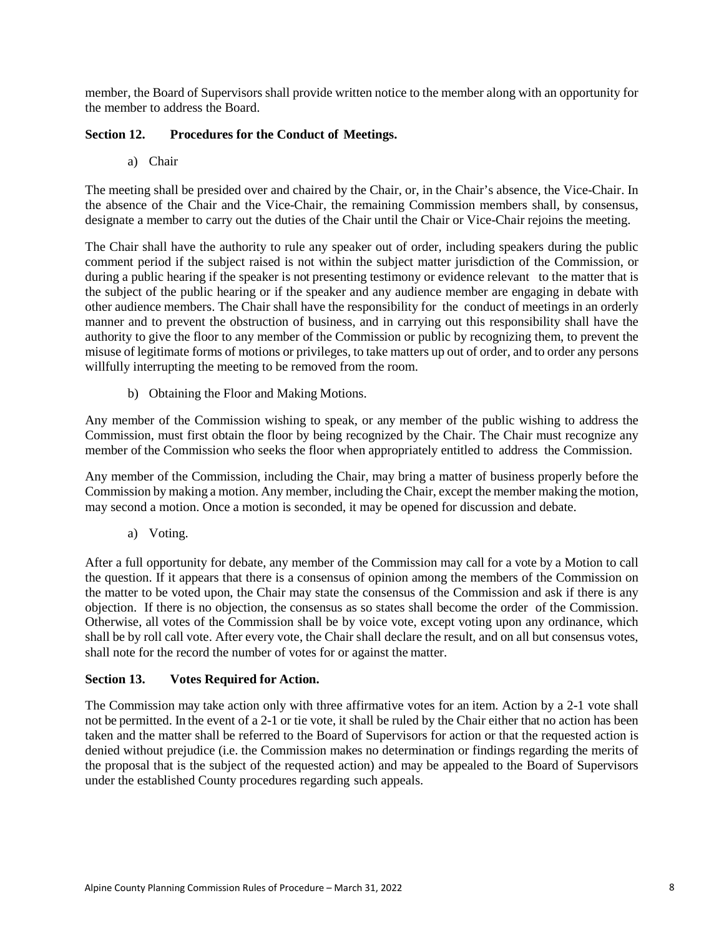member, the Board of Supervisors shall provide written notice to the member along with an opportunity for the member to address the Board.

#### **Section 12. Procedures for the Conduct of Meetings.**

a) Chair

The meeting shall be presided over and chaired by the Chair, or, in the Chair's absence, the Vice-Chair. In the absence of the Chair and the Vice-Chair, the remaining Commission members shall, by consensus, designate a member to carry out the duties of the Chair until the Chair or Vice-Chair rejoins the meeting.

The Chair shall have the authority to rule any speaker out of order, including speakers during the public comment period if the subject raised is not within the subject matter jurisdiction of the Commission, or during a public hearing if the speaker is not presenting testimony or evidence relevant to the matter that is the subject of the public hearing or if the speaker and any audience member are engaging in debate with other audience members. The Chair shall have the responsibility for the conduct of meetings in an orderly manner and to prevent the obstruction of business, and in carrying out this responsibility shall have the authority to give the floor to any member of the Commission or public by recognizing them, to prevent the misuse of legitimate forms of motions or privileges, to take matters up out of order, and to order any persons willfully interrupting the meeting to be removed from the room.

b) Obtaining the Floor and Making Motions.

Any member of the Commission wishing to speak, or any member of the public wishing to address the Commission, must first obtain the floor by being recognized by the Chair. The Chair must recognize any member of the Commission who seeks the floor when appropriately entitled to address the Commission.

Any member of the Commission, including the Chair, may bring a matter of business properly before the Commission by making a motion. Any member, including the Chair, except the member making the motion, may second a motion. Once a motion is seconded, it may be opened for discussion and debate.

a) Voting.

After a full opportunity for debate, any member of the Commission may call for a vote by a Motion to call the question. If it appears that there is a consensus of opinion among the members of the Commission on the matter to be voted upon, the Chair may state the consensus of the Commission and ask if there is any objection. If there is no objection, the consensus as so states shall become the order of the Commission. Otherwise, all votes of the Commission shall be by voice vote, except voting upon any ordinance, which shall be by roll call vote. After every vote, the Chair shall declare the result, and on all but consensus votes, shall note for the record the number of votes for or against the matter.

#### **Section 13. Votes Required for Action.**

The Commission may take action only with three affirmative votes for an item. Action by a 2-1 vote shall not be permitted. In the event of a 2-1 or tie vote, it shall be ruled by the Chair either that no action has been taken and the matter shall be referred to the Board of Supervisors for action or that the requested action is denied without prejudice (i.e. the Commission makes no determination or findings regarding the merits of the proposal that is the subject of the requested action) and may be appealed to the Board of Supervisors under the established County procedures regarding such appeals.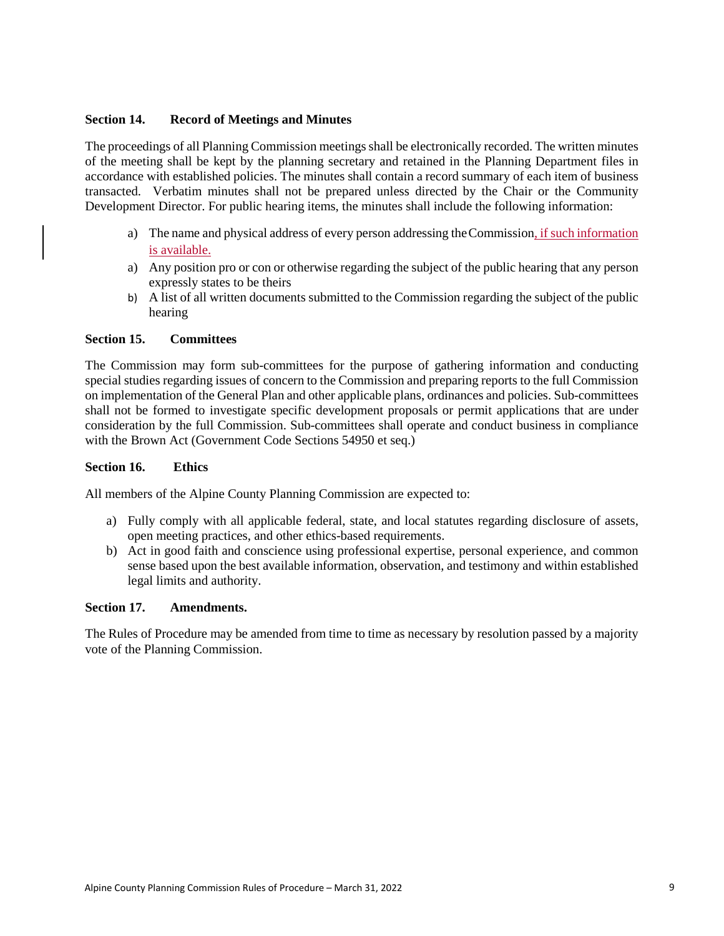#### **Section 14. Record of Meetings and Minutes**

The proceedings of all Planning Commission meetings shall be electronically recorded. The written minutes of the meeting shall be kept by the planning secretary and retained in the Planning Department files in accordance with established policies. The minutes shall contain a record summary of each item of business transacted. Verbatim minutes shall not be prepared unless directed by the Chair or the Community Development Director. For public hearing items, the minutes shall include the following information:

- a) The name and physical address of every person addressing the Commission, if such information is available.
- a) Any position pro or con or otherwise regarding the subject of the public hearing that any person expressly states to be theirs
- b) A list of all written documents submitted to the Commission regarding the subject of the public hearing

#### **Section 15. Committees**

The Commission may form sub-committees for the purpose of gathering information and conducting special studies regarding issues of concern to the Commission and preparing reports to the full Commission on implementation of the General Plan and other applicable plans, ordinances and policies. Sub-committees shall not be formed to investigate specific development proposals or permit applications that are under consideration by the full Commission. Sub-committees shall operate and conduct business in compliance with the Brown Act (Government Code Sections 54950 et seq.)

#### **Section 16. Ethics**

All members of the Alpine County Planning Commission are expected to:

- a) Fully comply with all applicable federal, state, and local statutes regarding disclosure of assets, open meeting practices, and other ethics-based requirements.
- b) Act in good faith and conscience using professional expertise, personal experience, and common sense based upon the best available information, observation, and testimony and within established legal limits and authority.

#### **Section 17. Amendments.**

The Rules of Procedure may be amended from time to time as necessary by resolution passed by a majority vote of the Planning Commission.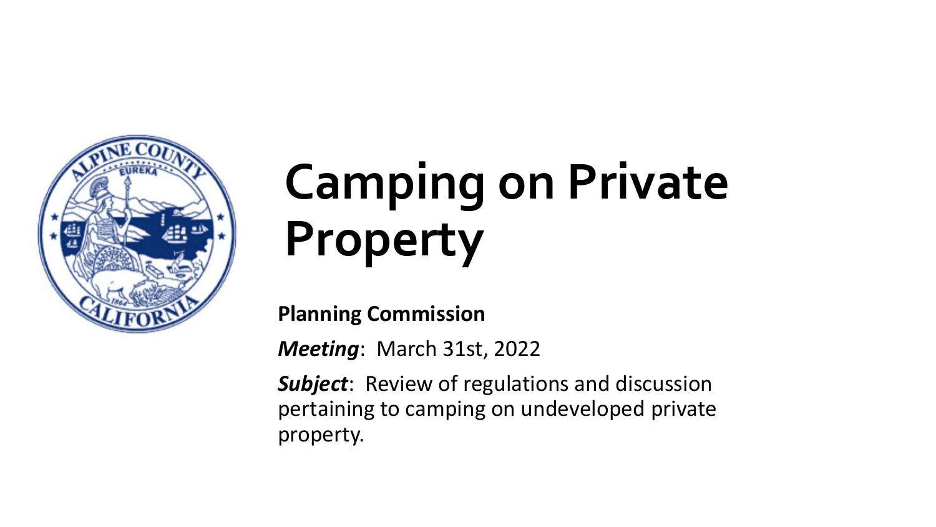

# **Camping on Private Property**

**Planning Commission**

*Meeting*: March 31st, 2022

*Subject*: Review of regulations and discussion pertaining to camping on undeveloped private property.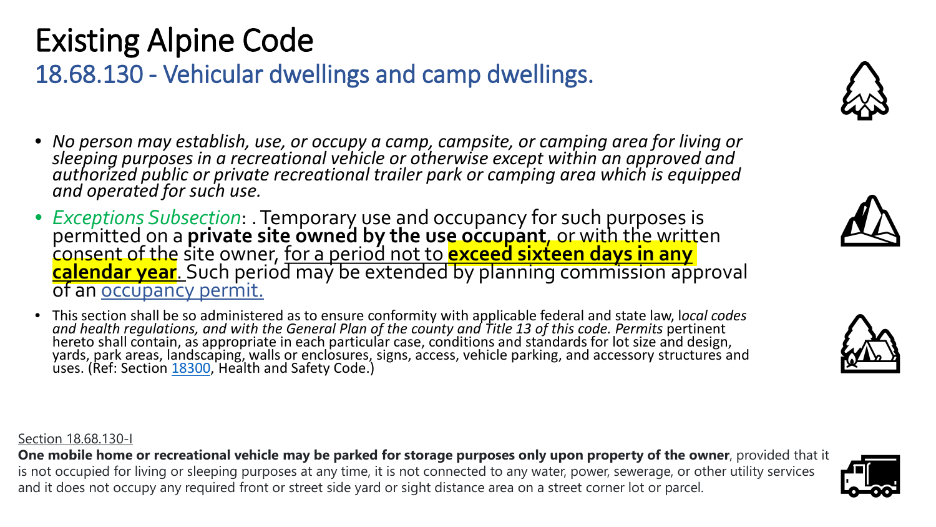## Existing Alpine Code

## 18.68.130 - Vehicular dwellings and camp dwellings.

- *No person may establish, use, or occupy a camp, campsite, or camping area for living or sleeping purposes in a recreational vehicle or otherwise except within an approved and authorized public or private recreational trailer park or camping area which is equipped and operated for such use.*
- *Exceptions Subsection*: . Temporary use and occupancy for such purposes is<br>permitted on a **private site owned by the use occupant**, or with the written<br>consent of the site owner, <u>for a period not to **exceed sixteen day</u>**
- This section shall be so administered as to ensure conformity with applicable federal and state law, l*ocal codes and health regulations, and with the General Plan of the county and Title 13 of this code. Permits pertinent<br>hereto shall contain, as appropriate in each particular case, conditions and standards for lot size and design,* yards, park areas, landscaping, walls or enclosures, signs, access, vehicle parking, and accessory structures and uses. (Ref: Section [18300,](http://leginfo.legislature.ca.gov/faces/codes_displaySection.xhtml?lawCode=HSC§ionNum=18300) Health and Safety Code.)

#### Section 18.68.130-I

**One mobile home or recreational vehicle may be parked for storage purposes only upon property of the owner**, provided that it is not occupied for living or sleeping purposes at any time, it is not connected to any water, power, sewerage, or other utility services and it does not occupy any required front or street side yard or sight distance area on a street corner lot or parcel.







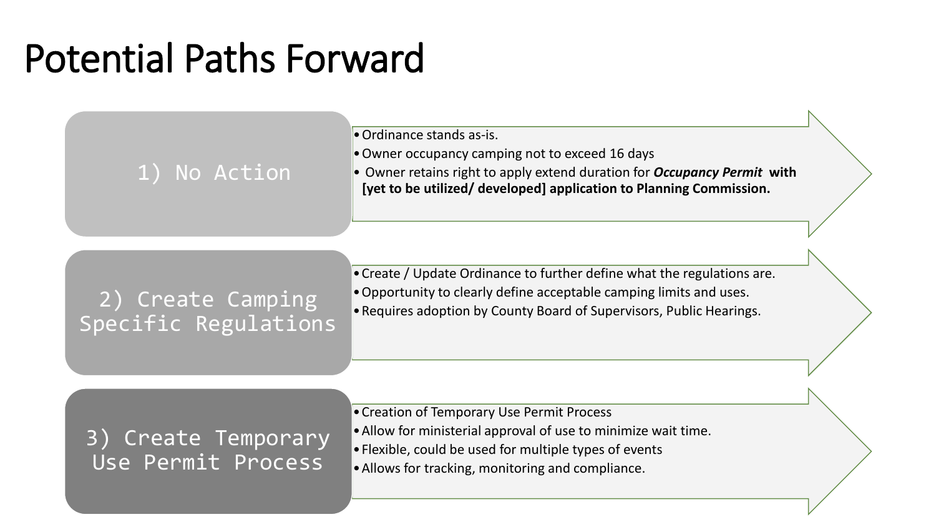## Potential Paths Forward

•Ordinance stands as-is.

- •Owner occupancy camping not to exceed 16 days
- 1) No Action <br> **[yet to be utilized/ developed] application to Planning Commission.**<br> **[yet to be utilized/ developed] application to Planning Commission.**

## 2) Create Camping Copportunity to clearly define acceptable camping limits and uses.<br>Requires adoption by County Board of Supervisors, Public Hearings. Specific Regulations

- •Create / Update Ordinance to further define what the regulations are.
- •Opportunity to clearly define acceptable camping limits and uses.
- 

### 3) Create Temporary Use Permit Process

- •Creation of Temporary Use Permit Process
- •Allow for ministerial approval of use to minimize wait time.
- •Flexible, could be used for multiple types of events
- •Allows for tracking, monitoring and compliance.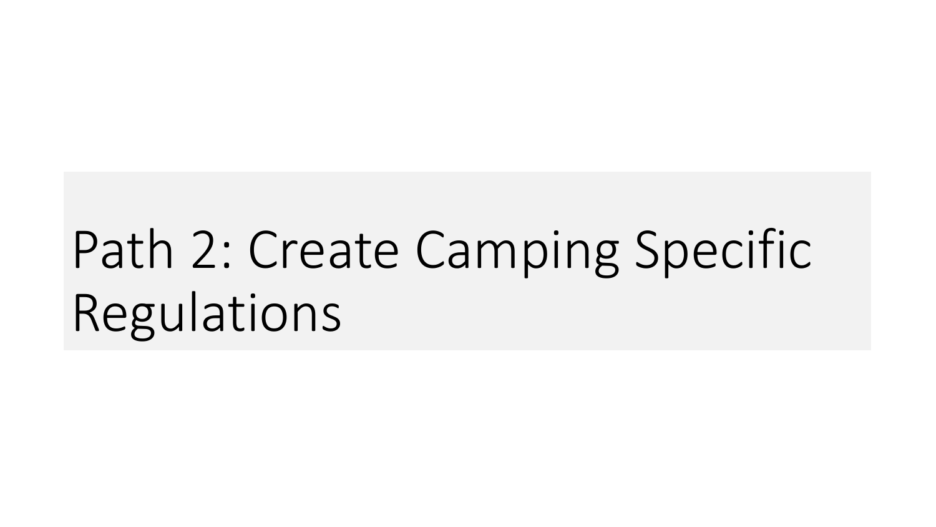# Path 2: Create Camping Specific Regulations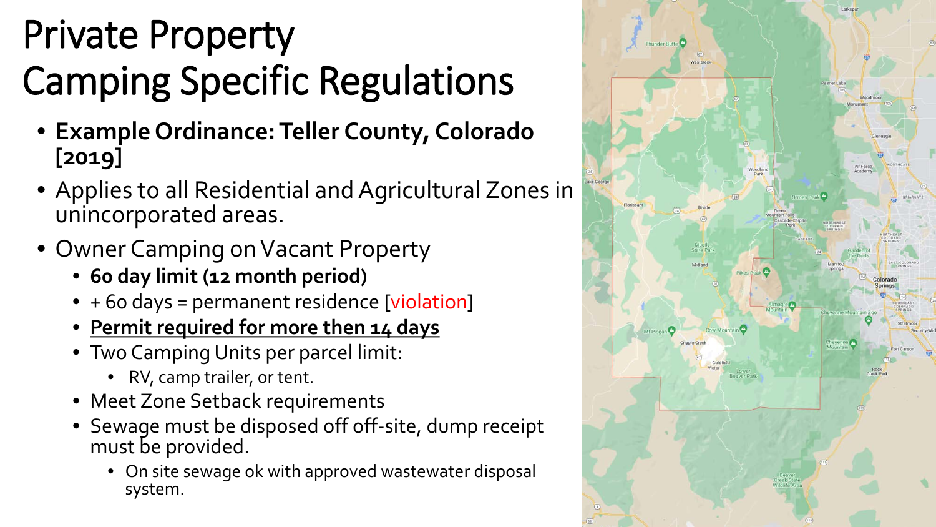# Private Property Camping Specific Regulations

- **Example Ordinance: Teller County, Colorado [2019]**
- Applies to all Residential and Agricultural Zones in unincorporated areas.
- Owner Camping on Vacant Property
	- **60 day limit (12 month period)**
	- + 60 days = permanent residence [violation]
	- **Permit required for more then 14 days**
	- Two Camping Units per parcel limit:
		- RV, camp trailer, or tent.
	- Meet Zone Setback requirements
	- Sewage must be disposed off off-site, dump receipt must be provided.
		- On site sewage ok with approved wastewater disposal system.

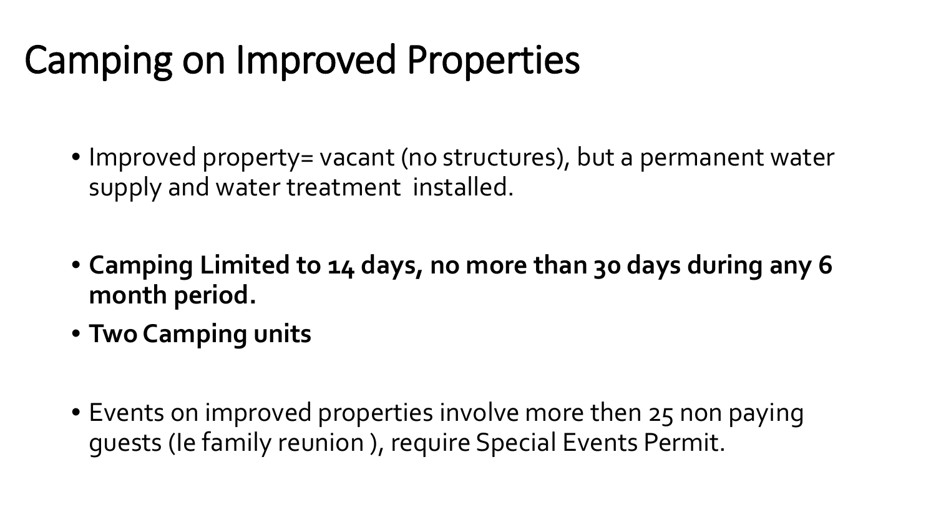## Camping on Improved Properties

- Improved property= vacant (no structures), but a permanent water supply and water treatment installed.
- **Camping Limited to 14 days, no more than 30 days during any 6 month period.**
- **Two Camping units**
- Events on improved properties involve more then 25 non paying guests (Ie family reunion ), require Special Events Permit.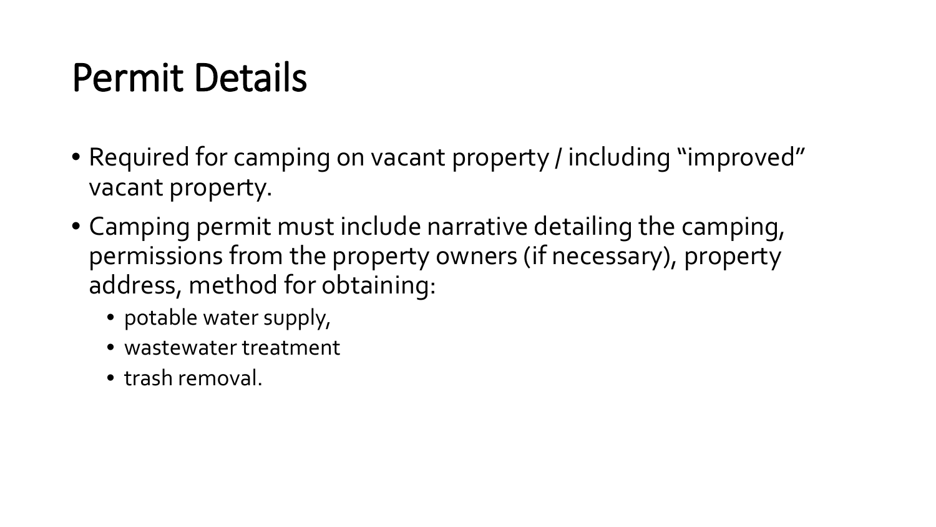## Permit Details

- Required for camping on vacant property / including "improved" vacant property.
- Camping permit must include narrative detailing the camping, permissions from the property owners (if necessary), property address, method for obtaining:
	- potable water supply,
	- wastewater treatment
	- trash removal.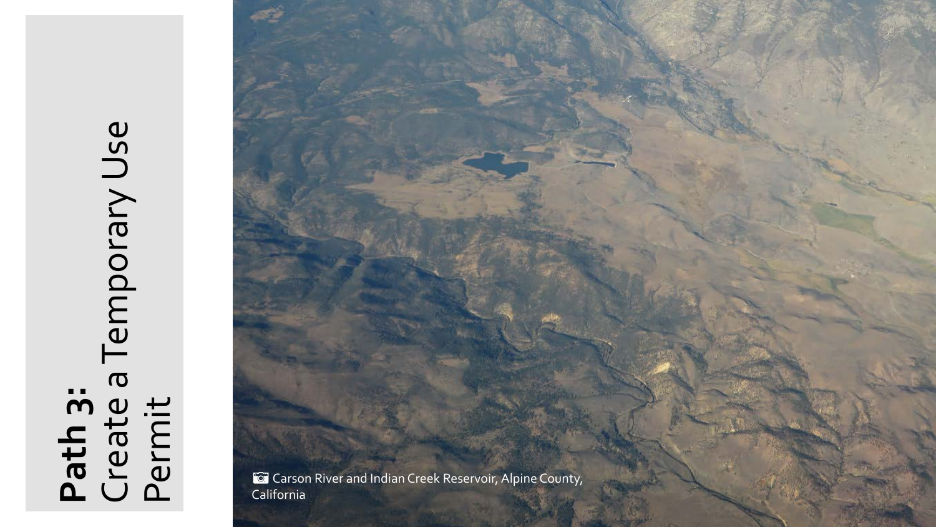# **Path 3:** Permit Create a Temporary Use

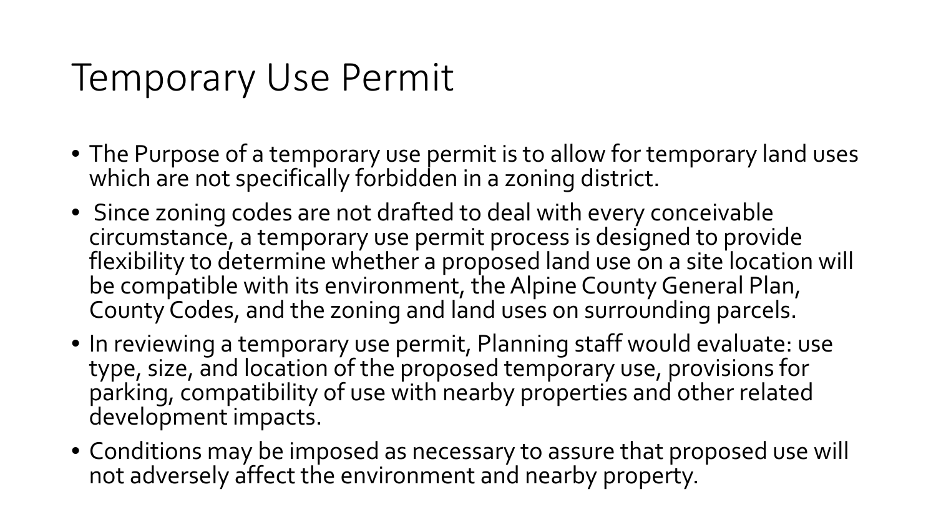## Temporary Use Permit

- The Purpose of a temporary use permit is to allow for temporary land uses which are not specifically forbidden in a zoning district.
- Since zoning codes are not drafted to deal with every conceivable circumstance, a temporary use permit process is designed to provide flexibility to determine whether a proposed land use on a site location will be compatible with its environment, the Alpine County General Plan, County Codes, and the zoning and land uses on surrounding parcels.
- In reviewing a temporary use permit, Planning staff would evaluate: use type, size, and location of the proposed temporary use, provisions for parking, compatibility of use with nearby properties and other related development impacts.
- Conditions may be imposed as necessary to assure that proposed use will not adversely affect the environment and nearby property.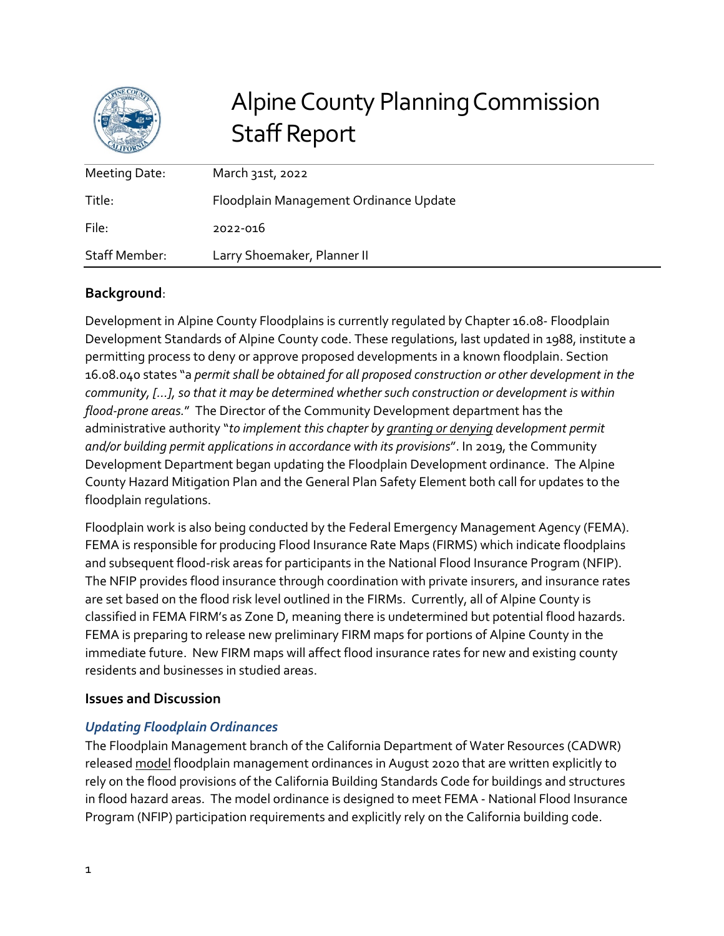

## Alpine County Planning Commission Staff Report

| Meeting Date: | March 31st, 2022                       |
|---------------|----------------------------------------|
| Title:        | Floodplain Management Ordinance Update |
| File:         | 2022-016                               |
| Staff Member: | Larry Shoemaker, Planner II            |

#### **Background**:

Development in Alpine County Floodplains is currently regulated by Chapter 16.08- Floodplain Development Standards of Alpine County code. These regulations, last updated in 1988, institute a permitting process to deny or approve proposed developments in a known floodplain. Section 16.08.040 states "a *permit shall be obtained for all proposed construction or other development in the community, […], so that it may be determined whether such construction or development is within flood-prone areas.*" The Director of the Community Development department has the administrative authority "*to implement this chapter by granting or denying development permit and/or building permit applications in accordance with its provisions*". In 2019, the Community Development Department began updating the Floodplain Development ordinance. The Alpine County Hazard Mitigation Plan and the General Plan Safety Element both call for updates to the floodplain regulations.

Floodplain work is also being conducted by the Federal Emergency Management Agency (FEMA). FEMA is responsible for producing Flood Insurance Rate Maps (FIRMS) which indicate floodplains and subsequent flood-risk areas for participants in the National Flood Insurance Program (NFIP). The NFIP provides flood insurance through coordination with private insurers, and insurance rates are set based on the flood risk level outlined in the FIRMs. Currently, all of Alpine County is classified in FEMA FIRM's as Zone D, meaning there is undetermined but potential flood hazards. FEMA is preparing to release new preliminary FIRM maps for portions of Alpine County in the immediate future. New FIRM maps will affect flood insurance rates for new and existing county residents and businesses in studied areas.

#### **Issues and Discussion**

#### *Updating Floodplain Ordinances*

The Floodplain Management branch of the California Department of Water Resources (CADWR) released model floodplain management ordinances in August 2020 that are written explicitly to rely on the flood provisions of the California Building Standards Code for buildings and structures in flood hazard areas. The model ordinance is designed to meet FEMA - National Flood Insurance Program (NFIP) participation requirements and explicitly rely on the California building code.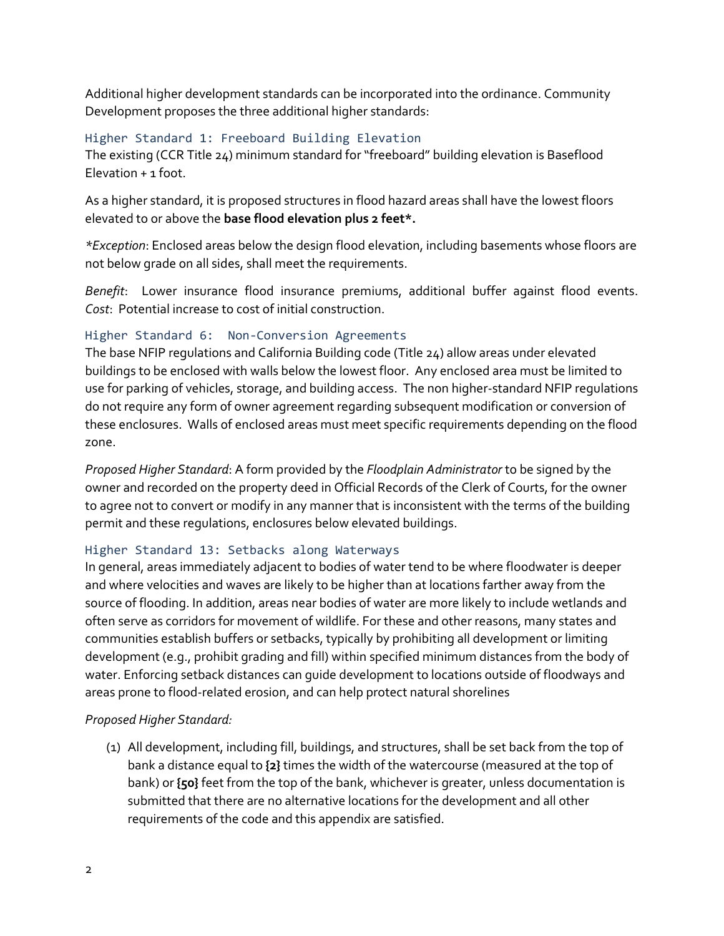Additional higher development standards can be incorporated into the ordinance. Community Development proposes the three additional higher standards:

#### Higher Standard 1: Freeboard Building Elevation

The existing (CCR Title 24) minimum standard for "freeboard" building elevation is Baseflood  $F$ levation  $+$  1 foot.

As a higher standard, it is proposed structures in flood hazard areas shall have the lowest floors elevated to or above the **base flood elevation plus 2 feet\*.**

*\*Exception*: Enclosed areas below the design flood elevation, including basements whose floors are not below grade on all sides, shall meet the requirements.

*Benefit*: Lower insurance flood insurance premiums, additional buffer against flood events. *Cost*: Potential increase to cost of initial construction.

#### Higher Standard 6: Non-Conversion Agreements

The base NFIP regulations and California Building code (Title 24) allow areas under elevated buildings to be enclosed with walls below the lowest floor. Any enclosed area must be limited to use for parking of vehicles, storage, and building access. The non higher-standard NFIP regulations do not require any form of owner agreement regarding subsequent modification or conversion of these enclosures. Walls of enclosed areas must meet specific requirements depending on the flood zone.

*Proposed Higher Standard*: A form provided by the *Floodplain Administrator* to be signed by the owner and recorded on the property deed in Official Records of the Clerk of Courts, for the owner to agree not to convert or modify in any manner that is inconsistent with the terms of the building permit and these regulations, enclosures below elevated buildings.

#### Higher Standard 13: Setbacks along Waterways

In general, areas immediately adjacent to bodies of water tend to be where floodwater is deeper and where velocities and waves are likely to be higher than at locations farther away from the source of flooding. In addition, areas near bodies of water are more likely to include wetlands and often serve as corridors for movement of wildlife. For these and other reasons, many states and communities establish buffers or setbacks, typically by prohibiting all development or limiting development (e.g., prohibit grading and fill) within specified minimum distances from the body of water. Enforcing setback distances can guide development to locations outside of floodways and areas prone to flood-related erosion, and can help protect natural shorelines

#### *Proposed Higher Standard:*

(1) All development, including fill, buildings, and structures, shall be set back from the top of bank a distance equal to **{2}** times the width of the watercourse (measured at the top of bank) or **{50}** feet from the top of the bank, whichever is greater, unless documentation is submitted that there are no alternative locations for the development and all other requirements of the code and this appendix are satisfied.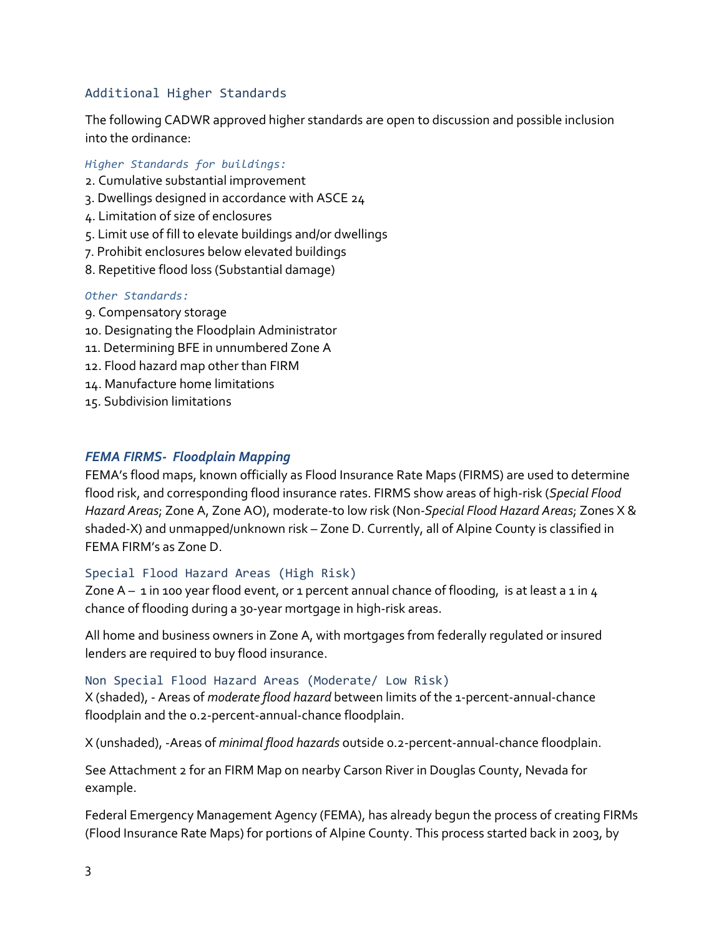#### Additional Higher Standards

The following CADWR approved higher standards are open to discussion and possible inclusion into the ordinance:

#### *Higher Standards for buildings:*

- 2. Cumulative substantial improvement
- 3. Dwellings designed in accordance with ASCE 24
- 4. Limitation of size of enclosures
- 5. Limit use of fill to elevate buildings and/or dwellings
- 7. Prohibit enclosures below elevated buildings
- 8. Repetitive flood loss (Substantial damage)

#### *Other Standards:*

- 9. Compensatory storage
- 10. Designating the Floodplain Administrator
- 11. Determining BFE in unnumbered Zone A
- 12. Flood hazard map other than FIRM
- 14. Manufacture home limitations
- 15. Subdivision limitations

#### *FEMA FIRMS- Floodplain Mapping*

FEMA's flood maps, known officially as Flood Insurance Rate Maps (FIRMS) are used to determine flood risk, and corresponding flood insurance rates. FIRMS show areas of high-risk (*Special Flood Hazard Areas*; Zone A, Zone AO), moderate-to low risk (Non*-Special Flood Hazard Areas*; Zones X & shaded-X) and unmapped/unknown risk – Zone D. Currently, all of Alpine County is classified in FEMA FIRM's as Zone D.

#### Special Flood Hazard Areas (High Risk)

Zone  $A - 1$  in 100 year flood event, or 1 percent annual chance of flooding, is at least a 1 in 4 chance of flooding during a 30-year mortgage in high-risk areas.

All home and business owners in Zone A, with mortgages from federally regulated or insured lenders are required to buy flood insurance.

#### Non Special Flood Hazard Areas (Moderate/ Low Risk)

X (shaded), - Areas of *moderate flood hazard* between limits of the 1-percent-annual-chance floodplain and the 0.2-percent-annual-chance floodplain.

X (unshaded), -Areas of *minimal flood hazards* outside 0.2-percent-annual-chance floodplain.

See Attachment 2 for an FIRM Map on nearby Carson River in Douglas County, Nevada for example.

Federal Emergency Management Agency (FEMA), has already begun the process of creating FIRMs (Flood Insurance Rate Maps) for portions of Alpine County. This process started back in 2003, by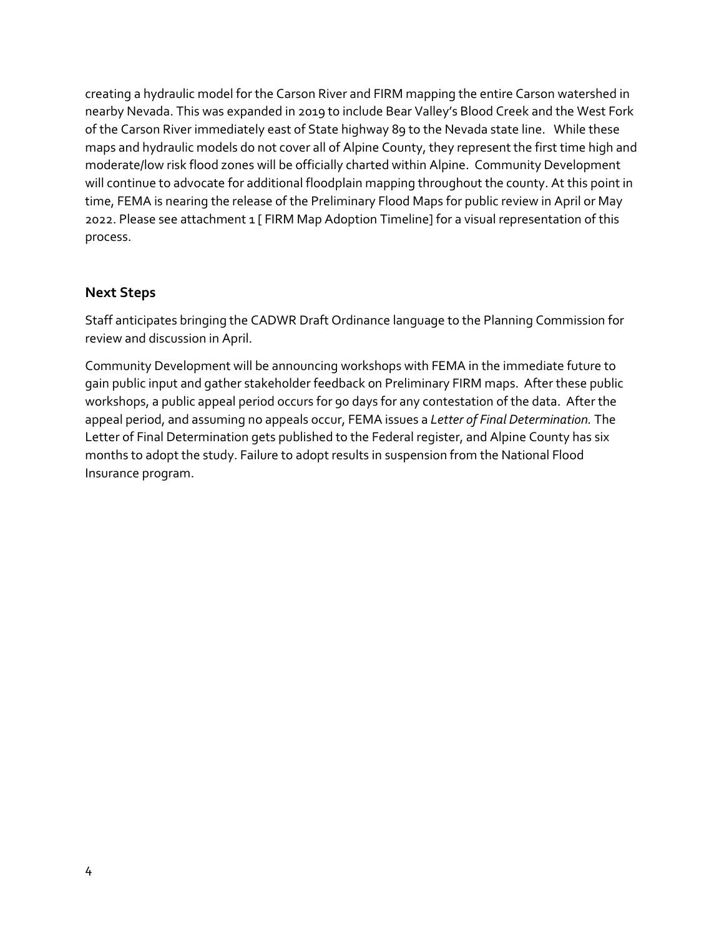creating a hydraulic model for the Carson River and FIRM mapping the entire Carson watershed in nearby Nevada. This was expanded in 2019 to include Bear Valley's Blood Creek and the West Fork of the Carson River immediately east of State highway 89 to the Nevada state line. While these maps and hydraulic models do not cover all of Alpine County, they represent the first time high and moderate/low risk flood zones will be officially charted within Alpine. Community Development will continue to advocate for additional floodplain mapping throughout the county. At this point in time, FEMA is nearing the release of the Preliminary Flood Maps for public review in April or May 2022. Please see attachment 1 [ FIRM Map Adoption Timeline] for a visual representation of this process.

#### **Next Steps**

Staff anticipates bringing the CADWR Draft Ordinance language to the Planning Commission for review and discussion in April.

Community Development will be announcing workshops with FEMA in the immediate future to gain public input and gather stakeholder feedback on Preliminary FIRM maps. After these public workshops, a public appeal period occurs for 90 days for any contestation of the data. After the appeal period, and assuming no appeals occur, FEMA issues a *Letter of Final Determination.* The Letter of Final Determination gets published to the Federal register, and Alpine County has six months to adopt the study. Failure to adopt results in suspension from the National Flood Insurance program.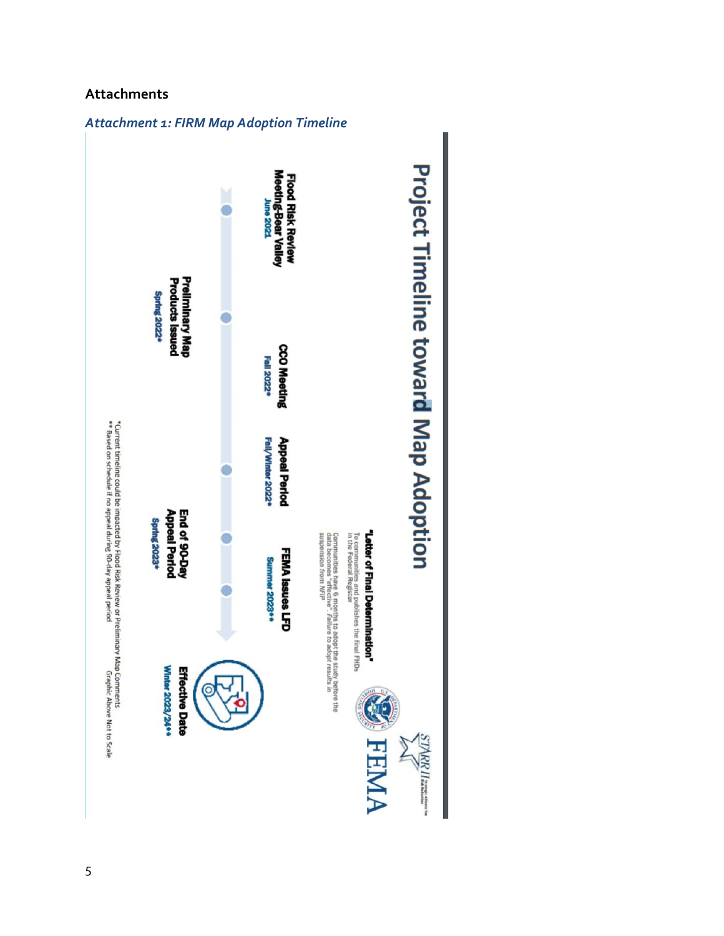#### **Attachments**